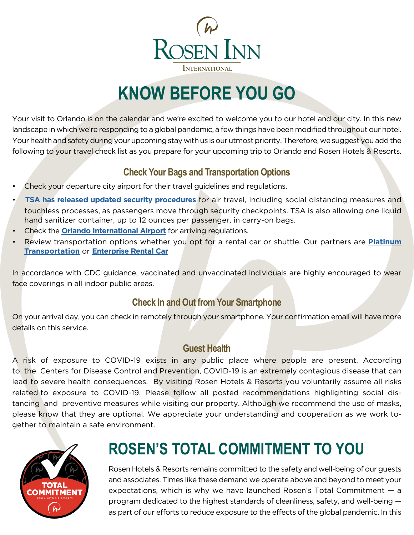

# **KNOW BEFORE YOU GO**

Your visit to Orlando is on the calendar and we're excited to welcome you to our hotel and our city. In this new landscape in which we're responding to a global pandemic, a few things have been modified throughout our hotel. Your health and safety during your upcoming stay with us is our utmost priority. Therefore, we suggest you add the following to your travel check list as you prepare for your upcoming trip to Orlando and Rosen Hotels & Resorts.

### **Check Your Bags and Transportation Options**

- Check your departure city airport for their travel guidelines and regulations.
- **[TSA has released updated security procedures](https://www.tsa.gov/coronavirus)** for air travel, including social distancing measures and touchless processes, as passengers move through security checkpoints. TSA is also allowing one liquid hand sanitizer container, up to 12 ounces per passenger, in carry-on bags.
- Check the **[Orlando International Airport](https://orlandoairports.net/getting-around-mco/coronavirus-covid-19/)** for arriving regulations.
- Review transportation options whether you opt for a rental car or shuttle. Our partners are **[Platinum](https://www.platinumtransportation.com/shuttle-schedule) [Transportation](https://www.platinumtransportation.com/shuttle-schedule)** or **[Enterprise Rental Car](https://www.enterprise.com/en/car-rental/locations/us/fl/orlando-convention-center-rosen-hotel-07v7.html)**

In accordance with CDC guidance, vaccinated and unvaccinated individuals are highly encouraged to wear face coverings in all indoor public areas.

### **Check In and Out from Your Smartphone**

On your arrival day, you can check in remotely through your smartphone. Your confirmation email will have more details on this service.

#### **Guest Health**

A risk of exposure to COVID-19 exists in any public place where people are present. According to the Centers for Disease Control and Prevention, COVID-19 is an extremely contagious disease that can lead to severe health consequences. By visiting Rosen Hotels & Resorts you voluntarily assume all risks related to exposure to COVID-19. Please follow all posted recommendations highlighting social distancing and preventive measures while visiting our property. Although we recommend the use of masks, please know that they are optional. We appreciate your understanding and cooperation as we work together to maintain a safe environment.



# **ROSEN'S TOTAL COMMITMENT TO YOU**

Rosen Hotels & Resorts remains committed to the safety and well-being of our guests and associates. Times like these demand we operate above and beyond to meet your expectations, which is why we have launched Rosen's Total Commitment — a program dedicated to the highest standards of cleanliness, safety, and well-being as part of our efforts to reduce exposure to the effects of the global pandemic. In this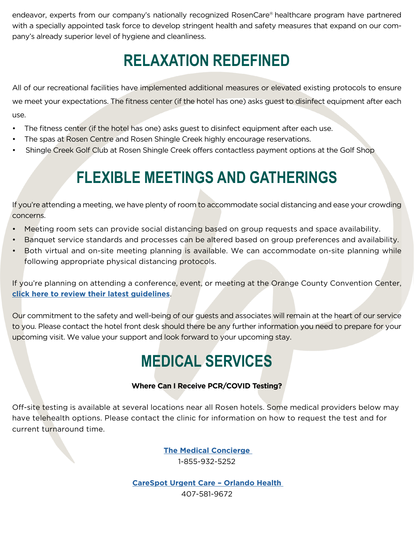endeavor, experts from our company's nationally recognized RosenCare® healthcare program have partnered with a specially appointed task force to develop stringent health and safety measures that expand on our company's already superior level of hygiene and cleanliness.

## **RELAXATION REDEFINED**

All of our recreational facilities have implemented additional measures or elevated existing protocols to ensure we meet your expectations. The fitness center (if the hotel has one) asks guest to disinfect equipment after each use.

- The fitness center (if the hotel has one) asks guest to disinfect equipment after each use.
- The spas at Rosen Centre and Rosen Shingle Creek highly encourage reservations.
- Shingle Creek Golf Club at Rosen Shingle Creek offers contactless payment options at the Golf Shop

## **FLEXIBLE MEETINGS AND GATHERINGS**

If you're attending a meeting, we have plenty of room to accommodate social distancing and ease your crowding concerns.

- Meeting room sets can provide social distancing based on group requests and space availability.
- Banquet service standards and processes can be altered based on group preferences and availability.
- Both virtual and on-site meeting planning is available. We can accommodate on-site planning while following appropriate physical distancing protocols.

If you're planning on attending a conference, event, or meeting at the Orange County Convention Center, **[click here to review their latest guidelines](https://www.occc.net/coronavirus)**.

Our commitment to the safety and well-being of our guests and associates will remain at the heart of our service to you. Please contact the hotel front desk should there be any further information you need to prepare for your upcoming visit. We value your support and look forward to your upcoming stay.

## **MEDICAL SERVICES**

#### **Where Can I Receive PCR/COVID Testing?**

Off-site testing is available at several locations near all Rosen hotels. Some medical providers below may have telehealth options. Please contact the clinic for information on how to request the test and for current turnaround time.

> **[The Medical Concierge](https://www.tsa.gov/coronavirus)**  1-855-932-5252

**[CareSpot Urgent Care – Orlando Health](https://www.carespot.com/our-response-to-covid-19/)**  407-581-9672